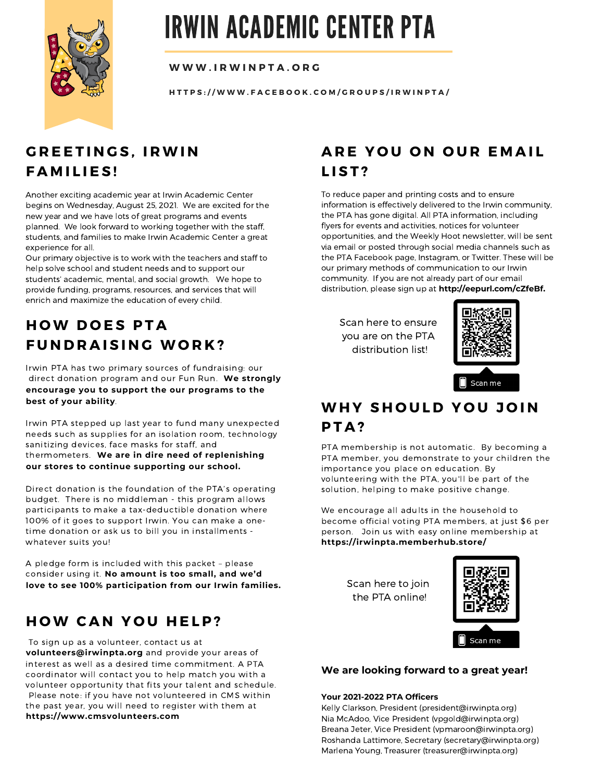

# IRWIN ACADEMIC CENTER PTA

**W W W . I R W IN P T A . O R G**

HTTPS://WWW.FACEBOOK.COM/GROUPS/IRWINPTA/

## **G R E E T I N G S , I RWI N F A M I L I E S !**

Another exciting academic year at Irwin Academic Center begins on Wednesday, August 25, 2021. We are excited for the new year and we have lots of great programs and events planned. We look forward to working together with the staff, students, and families to make Irwin Academic Center a great experience for all.

Our primary objective is to work with the teachers and staff to help solve school and student needs and to support our students' academic, mental, and social growth. We hope to provide funding, programs, resources, and services that will enrich and maximize the education of every child.

# **H OW D O E S P T A**  $F$  **UNDRAISING WORK?**

Irwin PTA has two primary sources of fundraising: our direct donation program and our Fun Run. **We strongly encourage you to support the our programs to the best of your ability**.

Irwin PTA stepped up last year to fund many unexpected needs such as supplies for an isolation room, technology sanitizing devices, face masks for staff, and thermometers. **We are in dire need of replenishing our stores to continue supporting our school.**

Direct donation is the foundation of the PTA's operating budget. There is no middleman - this program allows participants to make a tax-deductible donation where 100% of it goes to support Irwin. You can make a onetime donation or ask us to bill you in installments whatever suits you!

A pledge form is included with this packet – please consider using it. **No amount is too small, and we'd love to see 100% participation from our Irwin families.** Scan here to join

### **H OW C A N Y O U H E L P ?**

To sign up as a volunteer, contact us at

**volunteers@irwinpta.org** and provide your areas of interest as well as a desired time commitment. A PTA coordinator will contact you to help match you with a volunteer opportunity that fits your talent and schedule. Please note: if you have not volunteered in CMS within the past year, you will need to register with them at **https://www.cmsvolunteers.com**

## **A R E Y O U O N O U R E M A I L L I S T ?**

To reduce paper and printing costs and to ensure information is effectively delivered to the Irwin community, the PTA has gone digital. All PTA information, including flyers for events and activities, notices for volunteer opportunities, and the Weekly Hoot newsletter, will be sent via email or posted through social media channels such as the PTA Facebook page, Instagram, or Twitter. These will be our primary methods of communication to our Irwin community. If you are not already part of our email distribution, please sign up at **http://eepurl.com/cZfeBf.**

Scan here to ensure you are on the PTA distribution list!



# **WH Y S H O U L D Y O U J O I N P T A ?**

PTA membership is not automatic. By becoming a PTA member, you demonstrate to your children the importance you place on education. By volunteering with the PTA, you'll be part of the solution, helping to make positive change.

We encourage all adults in the household to become official voting PTA members, at just \$6 per person. Join us with easy online membership at **https://irwinpta.memberhub.store/**

the PTA online!



#### **We are looking forward to a great year!**

#### **Your 2021-2022 PTA Officers**

Kelly Clarkson, President (president@irwinpta.org) Nia McAdoo, Vice President (vpgold@irwinpta.org) Breana Jeter, Vice President (vpmaroon@irwinpta.org) Roshanda Lattimore, Secretary (secretary@irwinpta.org) Marlena Young, Treasurer (treasurer@irwinpta.org)